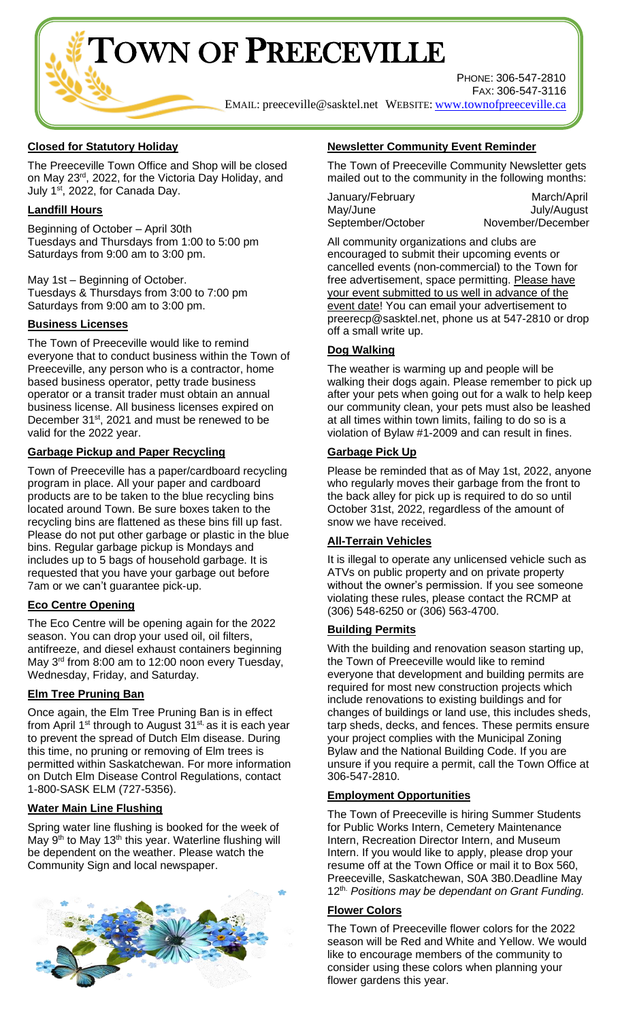TOWN OF PREECEVILLE

PHONE: 306-547-2810 FAX: 306-547-3116

EMAIL: [preeceville@sasktel.net](mailto:preeceville@sasktel.net) WEBSITE: [www.townofpreeceville.ca](http://www.townofpreeceville.ca/)

# **Closed for Statutory Holiday**

The Preeceville Town Office and Shop will be closed on May 23<sup>rd</sup>, 2022, for the Victoria Day Holiday, and July 1<sup>st</sup>, 2022, for Canada Day.

# **Landfill Hours**

Beginning of October – April 30th Tuesdays and Thursdays from 1:00 to 5:00 pm Saturdays from 9:00 am to 3:00 pm.

May 1st – Beginning of October. Tuesdays & Thursdays from 3:00 to 7:00 pm Saturdays from 9:00 am to 3:00 pm.

## **Business Licenses**

The Town of Preeceville would like to remind everyone that to conduct business within the Town of Preeceville, any person who is a contractor, home based business operator, petty trade business operator or a transit trader must obtain an annual business license. All business licenses expired on December 31<sup>st</sup>, 2021 and must be renewed to be valid for the 2022 year.

## **Garbage Pickup and Paper Recycling**

Town of Preeceville has a paper/cardboard recycling program in place. All your paper and cardboard products are to be taken to the blue recycling bins located around Town. Be sure boxes taken to the recycling bins are flattened as these bins fill up fast. Please do not put other garbage or plastic in the blue bins. Regular garbage pickup is Mondays and includes up to 5 bags of household garbage. It is requested that you have your garbage out before 7am or we can't guarantee pick-up.

## **Eco Centre Opening**

The Eco Centre will be opening again for the 2022 season. You can drop your used oil, oil filters, antifreeze, and diesel exhaust containers beginning May 3<sup>rd</sup> from 8:00 am to 12:00 noon every Tuesday, Wednesday, Friday, and Saturday.

## **Elm Tree Pruning Ban**

Once again, the Elm Tree Pruning Ban is in effect from April 1<sup>st</sup> through to August  $31<sup>st</sup>$ , as it is each year to prevent the spread of Dutch Elm disease. During this time, no pruning or removing of Elm trees is permitted within Saskatchewan. For more information on Dutch Elm Disease Control Regulations, contact 1-800-SASK ELM (727-5356).

## **Water Main Line Flushing**

Spring water line flushing is booked for the week of May 9<sup>th</sup> to May 13<sup>th</sup> this year. Waterline flushing will be dependent on the weather. Please watch the Community Sign and local newspaper.



# **Newsletter Community Event Reminder**

The Town of Preeceville Community Newsletter gets mailed out to the community in the following months:

| January/February  | March/April       |
|-------------------|-------------------|
| May/June          | July/August       |
| September/October | November/December |

All community organizations and clubs are encouraged to submit their upcoming events or cancelled events (non-commercial) to the Town for free advertisement, space permitting. Please have your event submitted to us well in advance of the event date! You can email your advertisement to preerecp@sasktel.net, phone us at 547-2810 or drop off a small write up.

## **Dog Walking**

The weather is warming up and people will be walking their dogs again. Please remember to pick up after your pets when going out for a walk to help keep our community clean, your pets must also be leashed at all times within town limits, failing to do so is a violation of Bylaw #1-2009 and can result in fines.

## **Garbage Pick Up**

Please be reminded that as of May 1st, 2022, anyone who regularly moves their garbage from the front to the back alley for pick up is required to do so until October 31st, 2022, regardless of the amount of snow we have received.

## **All-Terrain Vehicles**

It is illegal to operate any unlicensed vehicle such as ATVs on public property and on private property without the owner's permission. If you see someone violating these rules, please contact the RCMP at (306) 548-6250 or (306) 563-4700.

## **Building Permits**

With the building and renovation season starting up, the Town of Preeceville would like to remind everyone that development and building permits are required for most new construction projects which include renovations to existing buildings and for changes of buildings or land use, this includes sheds, tarp sheds, decks, and fences. These permits ensure your project complies with the Municipal Zoning Bylaw and the National Building Code. If you are unsure if you require a permit, call the Town Office at 306-547-2810.

## **Employment Opportunities**

The Town of Preeceville is hiring Summer Students for Public Works Intern, Cemetery Maintenance Intern, Recreation Director Intern, and Museum Intern. If you would like to apply, please drop your resume off at the Town Office or mail it to Box 560, Preeceville, Saskatchewan, S0A 3B0.Deadline May 12th. *Positions may be dependant on Grant Funding.*

# **Flower Colors**

The Town of Preeceville flower colors for the 2022 season will be Red and White and Yellow. We would like to encourage members of the community to consider using these colors when planning your flower gardens this year.